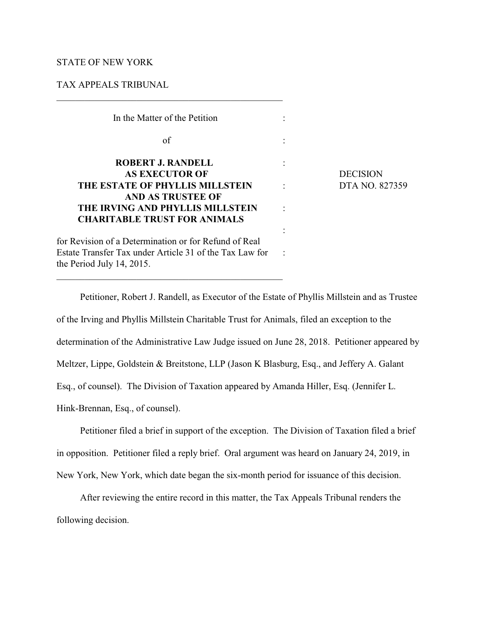## STATE OF NEW YORK

## TAX APPEALS TRIBUNAL

| In the Matter of the Petition                                                        |                 |
|--------------------------------------------------------------------------------------|-----------------|
| of                                                                                   |                 |
| <b>ROBERT J. RANDELL</b>                                                             |                 |
| <b>AS EXECUTOR OF</b>                                                                | <b>DECISION</b> |
| THE ESTATE OF PHYLLIS MILLSTEIN                                                      | DTA NO. 827359  |
| AND AS TRUSTEE OF                                                                    |                 |
| THE IRVING AND PHYLLIS MILLSTEIN                                                     |                 |
| <b>CHARITABLE TRUST FOR ANIMALS</b>                                                  |                 |
|                                                                                      |                 |
| for Revision of a Determination or for Refund of Real                                |                 |
| Estate Transfer Tax under Article 31 of the Tax Law for<br>the Period July 14, 2015. |                 |

 $\mathcal{L}_\mathcal{L} = \{ \mathcal{L}_\mathcal{L} = \{ \mathcal{L}_\mathcal{L} = \{ \mathcal{L}_\mathcal{L} = \{ \mathcal{L}_\mathcal{L} = \{ \mathcal{L}_\mathcal{L} = \{ \mathcal{L}_\mathcal{L} = \{ \mathcal{L}_\mathcal{L} = \{ \mathcal{L}_\mathcal{L} = \{ \mathcal{L}_\mathcal{L} = \{ \mathcal{L}_\mathcal{L} = \{ \mathcal{L}_\mathcal{L} = \{ \mathcal{L}_\mathcal{L} = \{ \mathcal{L}_\mathcal{L} = \{ \mathcal{L}_\mathcal{$ 

Petitioner, Robert J. Randell, as Executor of the Estate of Phyllis Millstein and as Trustee of the Irving and Phyllis Millstein Charitable Trust for Animals, filed an exception to the determination of the Administrative Law Judge issued on June 28, 2018. Petitioner appeared by Meltzer, Lippe, Goldstein & Breitstone, LLP (Jason K Blasburg, Esq., and Jeffery A. Galant Esq., of counsel). The Division of Taxation appeared by Amanda Hiller, Esq. (Jennifer L. Hink-Brennan, Esq., of counsel).

Petitioner filed a brief in support of the exception. The Division of Taxation filed a brief in opposition. Petitioner filed a reply brief. Oral argument was heard on January 24, 2019, in New York, New York, which date began the six-month period for issuance of this decision.

After reviewing the entire record in this matter, the Tax Appeals Tribunal renders the following decision.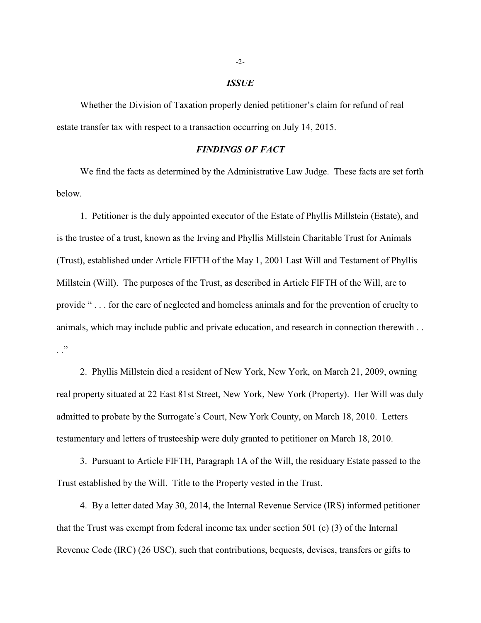#### *ISSUE*

Whether the Division of Taxation properly denied petitioner's claim for refund of real estate transfer tax with respect to a transaction occurring on July 14, 2015.

### *FINDINGS OF FACT*

We find the facts as determined by the Administrative Law Judge. These facts are set forth below.

1. Petitioner is the duly appointed executor of the Estate of Phyllis Millstein (Estate), and is the trustee of a trust, known as the Irving and Phyllis Millstein Charitable Trust for Animals (Trust), established under Article FIFTH of the May 1, 2001 Last Will and Testament of Phyllis Millstein (Will). The purposes of the Trust, as described in Article FIFTH of the Will, are to provide " . . . for the care of neglected and homeless animals and for the prevention of cruelty to animals, which may include public and private education, and research in connection therewith . .  $\cdot$  .  $\cdot$ 

2. Phyllis Millstein died a resident of New York, New York, on March 21, 2009, owning real property situated at 22 East 81st Street, New York, New York (Property). Her Will was duly admitted to probate by the Surrogate's Court, New York County, on March 18, 2010. Letters testamentary and letters of trusteeship were duly granted to petitioner on March 18, 2010.

3. Pursuant to Article FIFTH, Paragraph 1A of the Will, the residuary Estate passed to the Trust established by the Will. Title to the Property vested in the Trust.

4. By a letter dated May 30, 2014, the Internal Revenue Service (IRS) informed petitioner that the Trust was exempt from federal income tax under section 501 (c) (3) of the Internal Revenue Code (IRC) (26 USC), such that contributions, bequests, devises, transfers or gifts to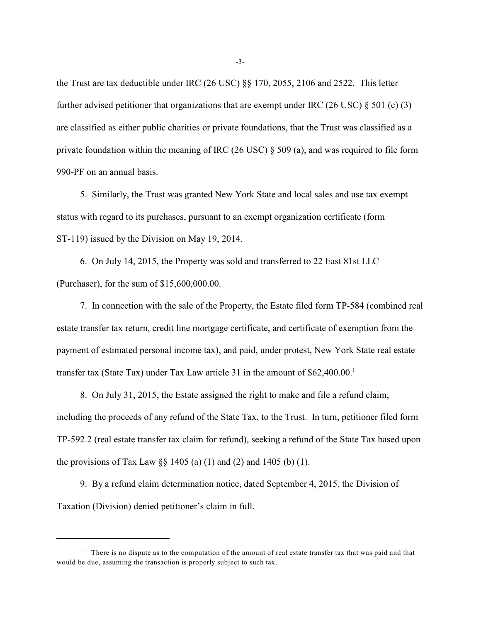the Trust are tax deductible under IRC (26 USC) §§ 170, 2055, 2106 and 2522. This letter further advised petitioner that organizations that are exempt under IRC (26 USC) § 501 (c) (3) are classified as either public charities or private foundations, that the Trust was classified as a private foundation within the meaning of IRC (26 USC) § 509 (a), and was required to file form 990-PF on an annual basis.

5. Similarly, the Trust was granted New York State and local sales and use tax exempt status with regard to its purchases, pursuant to an exempt organization certificate (form ST-119) issued by the Division on May 19, 2014.

6. On July 14, 2015, the Property was sold and transferred to 22 East 81st LLC (Purchaser), for the sum of \$15,600,000.00.

7. In connection with the sale of the Property, the Estate filed form TP-584 (combined real estate transfer tax return, credit line mortgage certificate, and certificate of exemption from the payment of estimated personal income tax), and paid, under protest, New York State real estate transfer tax (State Tax) under Tax Law article 31 in the amount of \$62,400.00.<sup>1</sup>

8. On July 31, 2015, the Estate assigned the right to make and file a refund claim, including the proceeds of any refund of the State Tax, to the Trust. In turn, petitioner filed form TP-592.2 (real estate transfer tax claim for refund), seeking a refund of the State Tax based upon the provisions of Tax Law  $\S$  1405 (a) (1) and (2) and 1405 (b) (1).

9. By a refund claim determination notice, dated September 4, 2015, the Division of Taxation (Division) denied petitioner's claim in full.

 $<sup>1</sup>$  There is no dispute as to the computation of the amount of real estate transfer tax that was paid and that</sup> would be due, assuming the transaction is properly subject to such tax.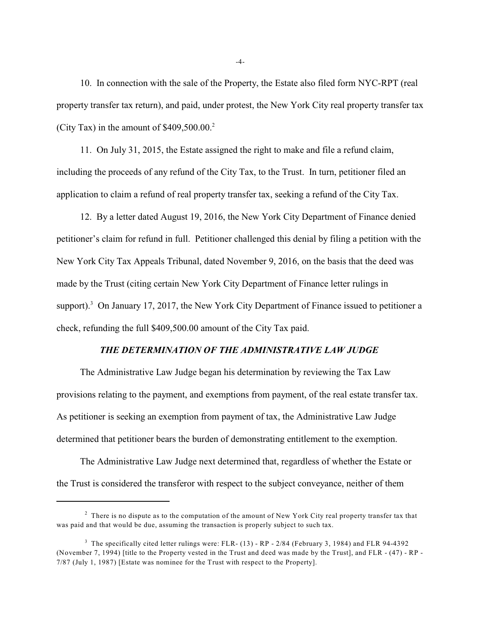10. In connection with the sale of the Property, the Estate also filed form NYC-RPT (real property transfer tax return), and paid, under protest, the New York City real property transfer tax (City Tax) in the amount of  $$409,500.00.<sup>2</sup>$ 

11. On July 31, 2015, the Estate assigned the right to make and file a refund claim, including the proceeds of any refund of the City Tax, to the Trust. In turn, petitioner filed an application to claim a refund of real property transfer tax, seeking a refund of the City Tax.

12. By a letter dated August 19, 2016, the New York City Department of Finance denied petitioner's claim for refund in full. Petitioner challenged this denial by filing a petition with the New York City Tax Appeals Tribunal, dated November 9, 2016, on the basis that the deed was made by the Trust (citing certain New York City Department of Finance letter rulings in support).<sup>3</sup> On January 17, 2017, the New York City Department of Finance issued to petitioner a check, refunding the full \$409,500.00 amount of the City Tax paid.

# *THE DETERMINATION OF THE ADMINISTRATIVE LAW JUDGE*

The Administrative Law Judge began his determination by reviewing the Tax Law provisions relating to the payment, and exemptions from payment, of the real estate transfer tax. As petitioner is seeking an exemption from payment of tax, the Administrative Law Judge determined that petitioner bears the burden of demonstrating entitlement to the exemption.

The Administrative Law Judge next determined that, regardless of whether the Estate or the Trust is considered the transferor with respect to the subject conveyance, neither of them

-4-

 $2$  There is no dispute as to the computation of the amount of New York City real property transfer tax that was paid and that would be due, assuming the transaction is properly subject to such tax.

<sup>&</sup>lt;sup>3</sup> The specifically cited letter rulings were: FLR- $(13)$  - RP - 2/84 (February 3, 1984) and FLR 94-4392 (November 7, 1994) [title to the Property vested in the Trust and deed was made by the Trust], and FLR - (47) - RP - 7/87 (July 1, 1987) [Estate was nominee for the Trust with respect to the Property].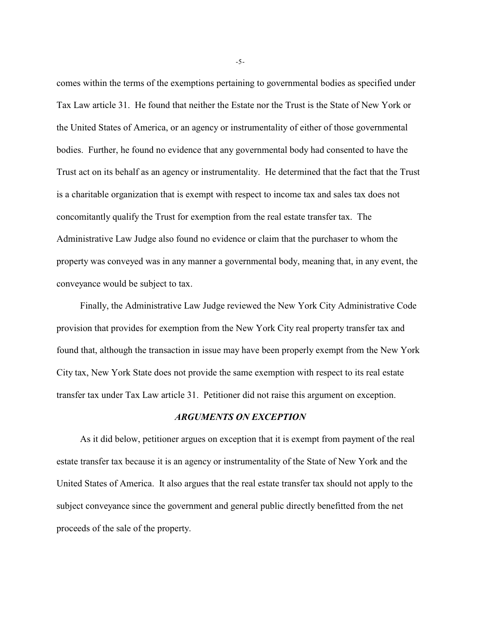comes within the terms of the exemptions pertaining to governmental bodies as specified under Tax Law article 31. He found that neither the Estate nor the Trust is the State of New York or the United States of America, or an agency or instrumentality of either of those governmental bodies. Further, he found no evidence that any governmental body had consented to have the Trust act on its behalf as an agency or instrumentality. He determined that the fact that the Trust is a charitable organization that is exempt with respect to income tax and sales tax does not concomitantly qualify the Trust for exemption from the real estate transfer tax. The Administrative Law Judge also found no evidence or claim that the purchaser to whom the property was conveyed was in any manner a governmental body, meaning that, in any event, the conveyance would be subject to tax.

Finally, the Administrative Law Judge reviewed the New York City Administrative Code provision that provides for exemption from the New York City real property transfer tax and found that, although the transaction in issue may have been properly exempt from the New York City tax, New York State does not provide the same exemption with respect to its real estate transfer tax under Tax Law article 31. Petitioner did not raise this argument on exception.

# *ARGUMENTS ON EXCEPTION*

As it did below, petitioner argues on exception that it is exempt from payment of the real estate transfer tax because it is an agency or instrumentality of the State of New York and the United States of America. It also argues that the real estate transfer tax should not apply to the subject conveyance since the government and general public directly benefitted from the net proceeds of the sale of the property.

-5-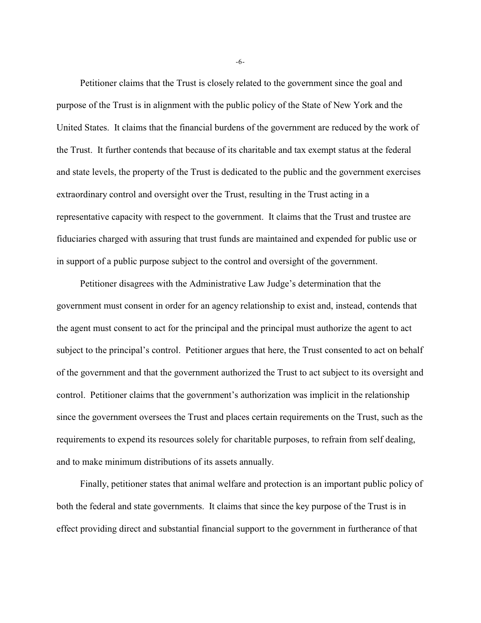Petitioner claims that the Trust is closely related to the government since the goal and purpose of the Trust is in alignment with the public policy of the State of New York and the United States. It claims that the financial burdens of the government are reduced by the work of the Trust. It further contends that because of its charitable and tax exempt status at the federal and state levels, the property of the Trust is dedicated to the public and the government exercises extraordinary control and oversight over the Trust, resulting in the Trust acting in a representative capacity with respect to the government. It claims that the Trust and trustee are fiduciaries charged with assuring that trust funds are maintained and expended for public use or in support of a public purpose subject to the control and oversight of the government.

Petitioner disagrees with the Administrative Law Judge's determination that the government must consent in order for an agency relationship to exist and, instead, contends that the agent must consent to act for the principal and the principal must authorize the agent to act subject to the principal's control. Petitioner argues that here, the Trust consented to act on behalf of the government and that the government authorized the Trust to act subject to its oversight and control. Petitioner claims that the government's authorization was implicit in the relationship since the government oversees the Trust and places certain requirements on the Trust, such as the requirements to expend its resources solely for charitable purposes, to refrain from self dealing, and to make minimum distributions of its assets annually.

Finally, petitioner states that animal welfare and protection is an important public policy of both the federal and state governments. It claims that since the key purpose of the Trust is in effect providing direct and substantial financial support to the government in furtherance of that

-6-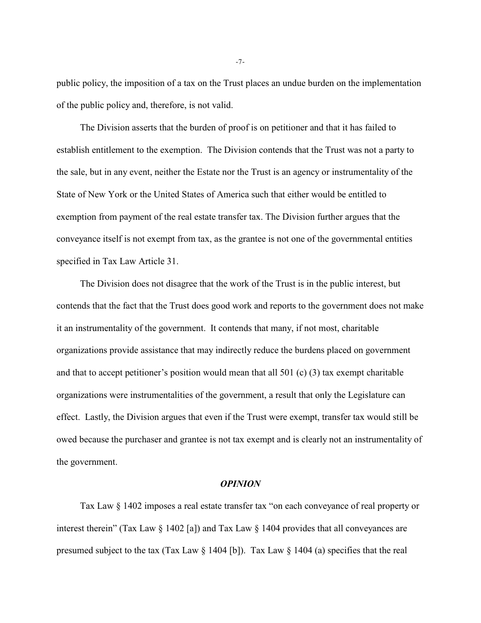public policy, the imposition of a tax on the Trust places an undue burden on the implementation of the public policy and, therefore, is not valid.

The Division asserts that the burden of proof is on petitioner and that it has failed to establish entitlement to the exemption. The Division contends that the Trust was not a party to the sale, but in any event, neither the Estate nor the Trust is an agency or instrumentality of the State of New York or the United States of America such that either would be entitled to exemption from payment of the real estate transfer tax. The Division further argues that the conveyance itself is not exempt from tax, as the grantee is not one of the governmental entities specified in Tax Law Article 31.

The Division does not disagree that the work of the Trust is in the public interest, but contends that the fact that the Trust does good work and reports to the government does not make it an instrumentality of the government. It contends that many, if not most, charitable organizations provide assistance that may indirectly reduce the burdens placed on government and that to accept petitioner's position would mean that all 501 (c) (3) tax exempt charitable organizations were instrumentalities of the government, a result that only the Legislature can effect. Lastly, the Division argues that even if the Trust were exempt, transfer tax would still be owed because the purchaser and grantee is not tax exempt and is clearly not an instrumentality of the government.

#### *OPINION*

Tax Law § 1402 imposes a real estate transfer tax "on each conveyance of real property or interest therein" (Tax Law § 1402 [a]) and Tax Law § 1404 provides that all conveyances are presumed subject to the tax (Tax Law  $\S$  1404 [b]). Tax Law  $\S$  1404 (a) specifies that the real

-7-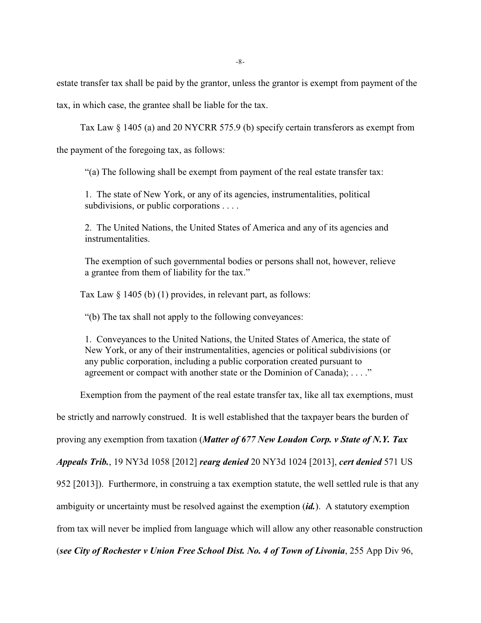estate transfer tax shall be paid by the grantor, unless the grantor is exempt from payment of the

tax, in which case, the grantee shall be liable for the tax.

Tax Law § 1405 (a) and 20 NYCRR 575.9 (b) specify certain transferors as exempt from

the payment of the foregoing tax, as follows:

"(a) The following shall be exempt from payment of the real estate transfer tax:

1. The state of New York, or any of its agencies, instrumentalities, political subdivisions, or public corporations . . . .

2. The United Nations, the United States of America and any of its agencies and instrumentalities.

The exemption of such governmental bodies or persons shall not, however, relieve a grantee from them of liability for the tax."

Tax Law § 1405 (b) (1) provides, in relevant part, as follows:

"(b) The tax shall not apply to the following conveyances:

1. Conveyances to the United Nations, the United States of America, the state of New York, or any of their instrumentalities, agencies or political subdivisions (or any public corporation, including a public corporation created pursuant to agreement or compact with another state or the Dominion of Canada); ...."

Exemption from the payment of the real estate transfer tax, like all tax exemptions, must

be strictly and narrowly construed. It is well established that the taxpayer bears the burden of

proving any exemption from taxation (*Matter of 677 New Loudon Corp. v State of N.Y. Tax*

*Appeals Trib.*, 19 NY3d 1058 [2012] *rearg denied* 20 NY3d 1024 [2013], *cert denied* 571 US

952 [2013]). Furthermore, in construing a tax exemption statute, the well settled rule is that any

ambiguity or uncertainty must be resolved against the exemption (*id.*). A statutory exemption

from tax will never be implied from language which will allow any other reasonable construction

(*see City of Rochester v Union Free School Dist. No. 4 of Town of Livonia*, 255 App Div 96,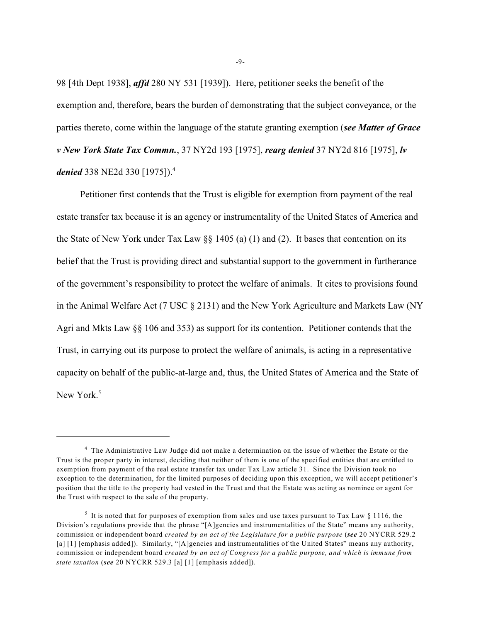98 [4th Dept 1938], *affd* 280 NY 531 [1939]). Here, petitioner seeks the benefit of the exemption and, therefore, bears the burden of demonstrating that the subject conveyance, or the parties thereto, come within the language of the statute granting exemption (*see Matter of Grace v New York State Tax Commn.*, 37 NY2d 193 [1975], *rearg denied* 37 NY2d 816 [1975], *lv denied* 338 NE2d 330 [1975]). 4

Petitioner first contends that the Trust is eligible for exemption from payment of the real estate transfer tax because it is an agency or instrumentality of the United States of America and the State of New York under Tax Law  $\S$  1405 (a) (1) and (2). It bases that contention on its belief that the Trust is providing direct and substantial support to the government in furtherance of the government's responsibility to protect the welfare of animals. It cites to provisions found in the Animal Welfare Act (7 USC § 2131) and the New York Agriculture and Markets Law (NY Agri and Mkts Law §§ 106 and 353) as support for its contention. Petitioner contends that the Trust, in carrying out its purpose to protect the welfare of animals, is acting in a representative capacity on behalf of the public-at-large and, thus, the United States of America and the State of New York.<sup>5</sup>

-9-

<sup>&</sup>lt;sup>4</sup> The Administrative Law Judge did not make a determination on the issue of whether the Estate or the Trust is the proper party in interest, deciding that neither of them is one of the specified entities that are entitled to exemption from payment of the real estate transfer tax under Tax Law article 31. Since the Division took no exception to the determination, for the limited purposes of deciding upon this exception, we will accept petitioner's position that the title to the property had vested in the Trust and that the Estate was acting as nominee or agent for the Trust with respect to the sale of the property.

<sup>&</sup>lt;sup>5</sup> It is noted that for purposes of exemption from sales and use taxes pursuant to Tax Law  $\S$  1116, the Division's regulations provide that the phrase "[A]gencies and instrumentalities of the State" means any authority, commission or independent board *created by an act of the Legislature for a public purpose* (*see* 20 NYCRR 529.2 [a] [1] [emphasis added]). Similarly, "[A]gencies and instrumentalities of the United States" means any authority, commission or independent board *created by an act of Congress for a public purpose, and which is immune from state taxation* (*see* 20 NYCRR 529.3 [a] [1] [emphasis added]).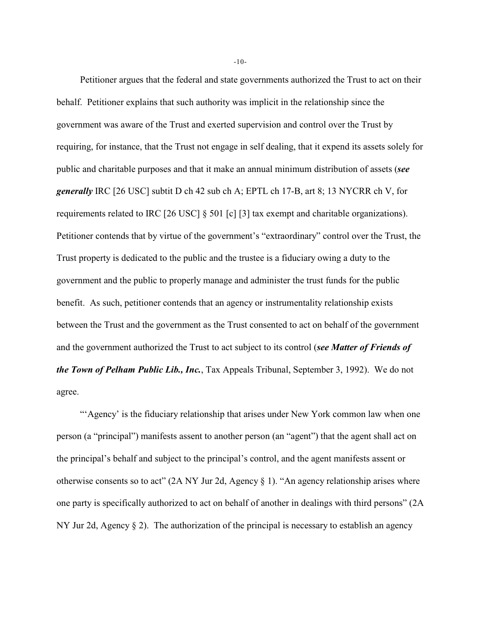Petitioner argues that the federal and state governments authorized the Trust to act on their behalf. Petitioner explains that such authority was implicit in the relationship since the government was aware of the Trust and exerted supervision and control over the Trust by requiring, for instance, that the Trust not engage in self dealing, that it expend its assets solely for public and charitable purposes and that it make an annual minimum distribution of assets (*see generally* IRC [26 USC] subtit D ch 42 sub ch A; EPTL ch 17-B, art 8; 13 NYCRR ch V, for requirements related to IRC [26 USC] § 501 [c] [3] tax exempt and charitable organizations). Petitioner contends that by virtue of the government's "extraordinary" control over the Trust, the Trust property is dedicated to the public and the trustee is a fiduciary owing a duty to the government and the public to properly manage and administer the trust funds for the public benefit. As such, petitioner contends that an agency or instrumentality relationship exists between the Trust and the government as the Trust consented to act on behalf of the government and the government authorized the Trust to act subject to its control (*see Matter of Friends of the Town of Pelham Public Lib., Inc.*, Tax Appeals Tribunal, September 3, 1992). We do not agree.

"'Agency' is the fiduciary relationship that arises under New York common law when one person (a "principal") manifests assent to another person (an "agent") that the agent shall act on the principal's behalf and subject to the principal's control, and the agent manifests assent or otherwise consents so to act" (2A NY Jur 2d, Agency  $\S$  1). "An agency relationship arises where one party is specifically authorized to act on behalf of another in dealings with third persons" (2A NY Jur 2d, Agency  $\S 2$ ). The authorization of the principal is necessary to establish an agency

-10-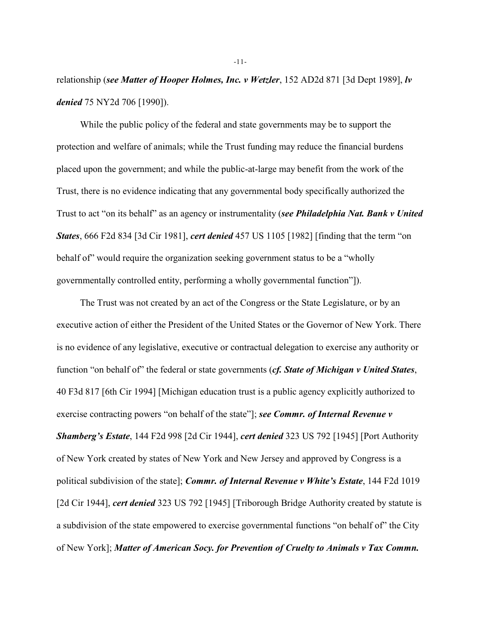relationship (*see Matter of Hooper Holmes, Inc. v Wetzler*, 152 AD2d 871 [3d Dept 1989], *lv denied* 75 NY2d 706 [1990]).

While the public policy of the federal and state governments may be to support the protection and welfare of animals; while the Trust funding may reduce the financial burdens placed upon the government; and while the public-at-large may benefit from the work of the Trust, there is no evidence indicating that any governmental body specifically authorized the Trust to act "on its behalf" as an agency or instrumentality (*see Philadelphia Nat. Bank v United States*, 666 F2d 834 [3d Cir 1981], *cert denied* 457 US 1105 [1982] [finding that the term "on behalf of" would require the organization seeking government status to be a "wholly governmentally controlled entity, performing a wholly governmental function"]).

The Trust was not created by an act of the Congress or the State Legislature, or by an executive action of either the President of the United States or the Governor of New York. There is no evidence of any legislative, executive or contractual delegation to exercise any authority or function "on behalf of" the federal or state governments (*cf. State of Michigan v United States*, 40 F3d 817 [6th Cir 1994] [Michigan education trust is a public agency explicitly authorized to exercise contracting powers "on behalf of the state"]; *see Commr. of Internal Revenue v Shamberg's Estate*, 144 F2d 998 [2d Cir 1944], *cert denied* 323 US 792 [1945] [Port Authority of New York created by states of New York and New Jersey and approved by Congress is a political subdivision of the state]; *Commr. of Internal Revenue v White's Estate*, 144 F2d 1019 [2d Cir 1944], *cert denied* 323 US 792 [1945] [Triborough Bridge Authority created by statute is a subdivision of the state empowered to exercise governmental functions "on behalf of" the City of New York]; *Matter of American Socy. for Prevention of Cruelty to Animals v Tax Commn.*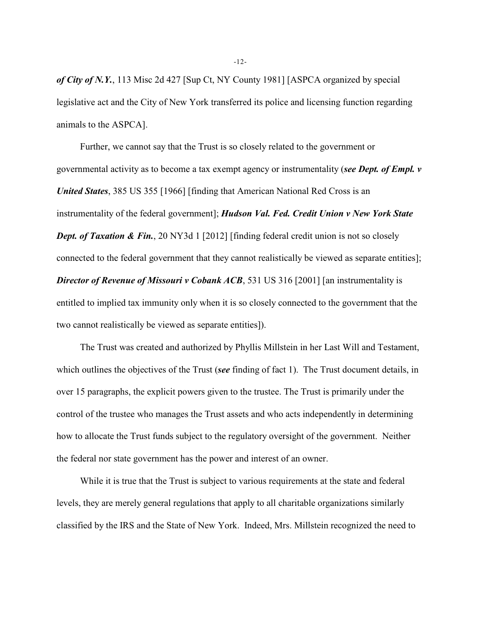*of City of N.Y.*, 113 Misc 2d 427 [Sup Ct, NY County 1981] [ASPCA organized by special legislative act and the City of New York transferred its police and licensing function regarding animals to the ASPCA].

Further, we cannot say that the Trust is so closely related to the government or governmental activity as to become a tax exempt agency or instrumentality (*see Dept. of Empl. v United States*, 385 US 355 [1966] [finding that American National Red Cross is an instrumentality of the federal government]; *Hudson Val. Fed. Credit Union v New York State Dept. of Taxation & Fin.*, 20 NY3d 1 [2012] [finding federal credit union is not so closely connected to the federal government that they cannot realistically be viewed as separate entities]; *Director of Revenue of Missouri v Cobank ACB*, 531 US 316 [2001] [an instrumentality is entitled to implied tax immunity only when it is so closely connected to the government that the two cannot realistically be viewed as separate entities]).

The Trust was created and authorized by Phyllis Millstein in her Last Will and Testament, which outlines the objectives of the Trust (*see* finding of fact 1). The Trust document details, in over 15 paragraphs, the explicit powers given to the trustee. The Trust is primarily under the control of the trustee who manages the Trust assets and who acts independently in determining how to allocate the Trust funds subject to the regulatory oversight of the government. Neither the federal nor state government has the power and interest of an owner.

While it is true that the Trust is subject to various requirements at the state and federal levels, they are merely general regulations that apply to all charitable organizations similarly classified by the IRS and the State of New York. Indeed, Mrs. Millstein recognized the need to

-12-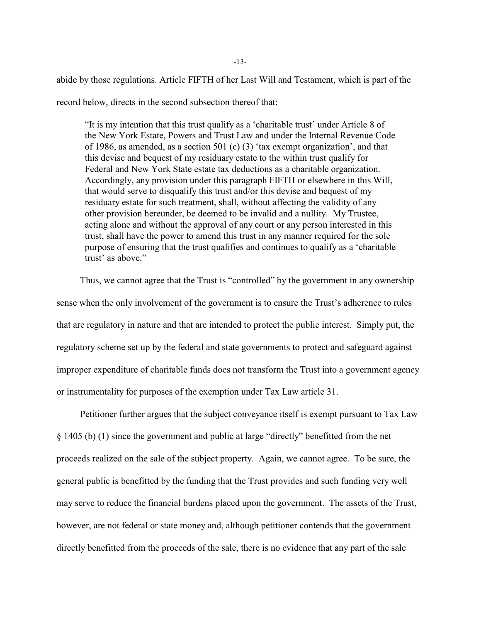abide by those regulations. Article FIFTH of her Last Will and Testament, which is part of the record below, directs in the second subsection thereof that:

"It is my intention that this trust qualify as a 'charitable trust' under Article 8 of the New York Estate, Powers and Trust Law and under the Internal Revenue Code of 1986, as amended, as a section 501 (c) (3) 'tax exempt organization', and that this devise and bequest of my residuary estate to the within trust qualify for Federal and New York State estate tax deductions as a charitable organization. Accordingly, any provision under this paragraph FIFTH or elsewhere in this Will, that would serve to disqualify this trust and/or this devise and bequest of my residuary estate for such treatment, shall, without affecting the validity of any other provision hereunder, be deemed to be invalid and a nullity. My Trustee, acting alone and without the approval of any court or any person interested in this trust, shall have the power to amend this trust in any manner required for the sole purpose of ensuring that the trust qualifies and continues to qualify as a 'charitable trust' as above."

Thus, we cannot agree that the Trust is "controlled" by the government in any ownership sense when the only involvement of the government is to ensure the Trust's adherence to rules that are regulatory in nature and that are intended to protect the public interest. Simply put, the regulatory scheme set up by the federal and state governments to protect and safeguard against improper expenditure of charitable funds does not transform the Trust into a government agency or instrumentality for purposes of the exemption under Tax Law article 31.

Petitioner further argues that the subject conveyance itself is exempt pursuant to Tax Law § 1405 (b) (1) since the government and public at large "directly" benefitted from the net proceeds realized on the sale of the subject property. Again, we cannot agree. To be sure, the general public is benefitted by the funding that the Trust provides and such funding very well may serve to reduce the financial burdens placed upon the government. The assets of the Trust, however, are not federal or state money and, although petitioner contends that the government directly benefitted from the proceeds of the sale, there is no evidence that any part of the sale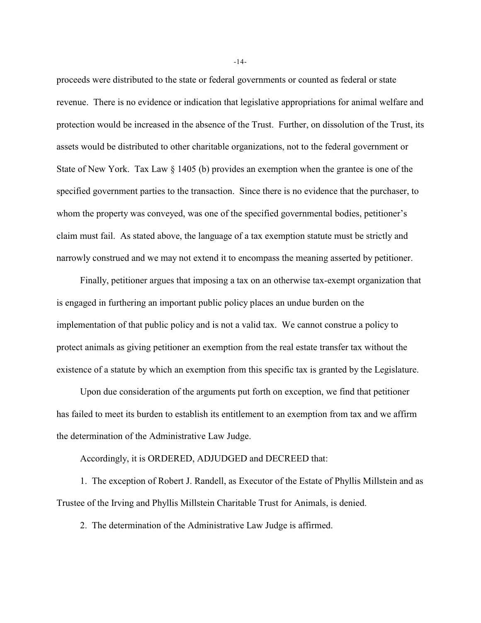proceeds were distributed to the state or federal governments or counted as federal or state revenue. There is no evidence or indication that legislative appropriations for animal welfare and protection would be increased in the absence of the Trust. Further, on dissolution of the Trust, its assets would be distributed to other charitable organizations, not to the federal government or State of New York. Tax Law § 1405 (b) provides an exemption when the grantee is one of the specified government parties to the transaction. Since there is no evidence that the purchaser, to whom the property was conveyed, was one of the specified governmental bodies, petitioner's claim must fail. As stated above, the language of a tax exemption statute must be strictly and narrowly construed and we may not extend it to encompass the meaning asserted by petitioner.

Finally, petitioner argues that imposing a tax on an otherwise tax-exempt organization that is engaged in furthering an important public policy places an undue burden on the implementation of that public policy and is not a valid tax. We cannot construe a policy to protect animals as giving petitioner an exemption from the real estate transfer tax without the existence of a statute by which an exemption from this specific tax is granted by the Legislature.

Upon due consideration of the arguments put forth on exception, we find that petitioner has failed to meet its burden to establish its entitlement to an exemption from tax and we affirm the determination of the Administrative Law Judge.

Accordingly, it is ORDERED, ADJUDGED and DECREED that:

1. The exception of Robert J. Randell, as Executor of the Estate of Phyllis Millstein and as Trustee of the Irving and Phyllis Millstein Charitable Trust for Animals, is denied.

2. The determination of the Administrative Law Judge is affirmed.

-14-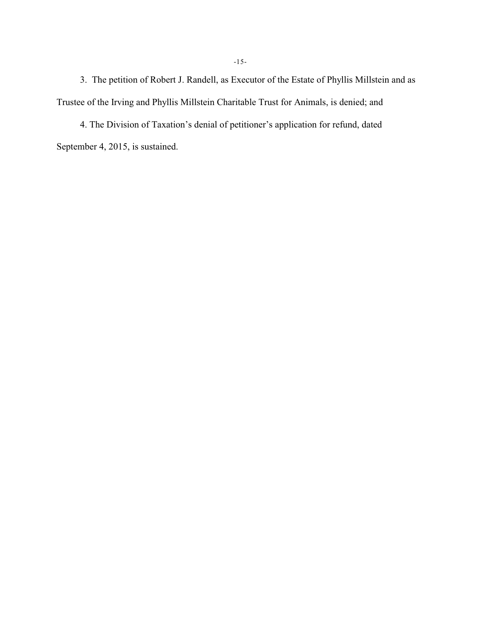3. The petition of Robert J. Randell, as Executor of the Estate of Phyllis Millstein and as Trustee of the Irving and Phyllis Millstein Charitable Trust for Animals, is denied; and

4. The Division of Taxation's denial of petitioner's application for refund, dated September 4, 2015, is sustained.